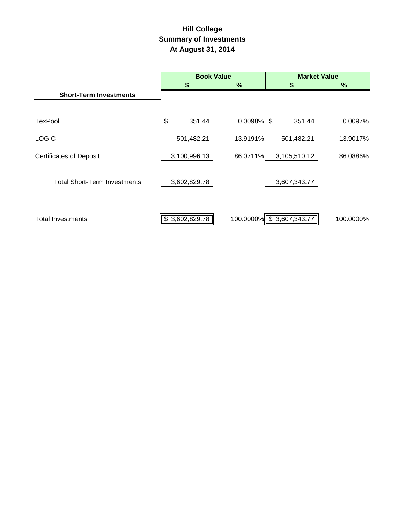# **Hill College Summary of Investments At August 31, 2014**

|                                     | <b>Book Value</b> |                         |                           | <b>Market Value</b> |
|-------------------------------------|-------------------|-------------------------|---------------------------|---------------------|
|                                     | \$                | %                       |                           | $\frac{9}{6}$       |
| <b>Short-Term Investments</b>       |                   |                         |                           |                     |
|                                     |                   |                         |                           |                     |
| <b>TexPool</b>                      | \$                | 351.44<br>$0.0098\%$ \$ | 351.44                    | 0.0097%             |
| <b>LOGIC</b>                        | 501,482.21        | 13.9191%                | 501,482.21                | 13.9017%            |
| <b>Certificates of Deposit</b>      | 3,100,996.13      | 86.0711%                | 3,105,510.12              | 86.0886%            |
| <b>Total Short-Term Investments</b> | 3,602,829.78      |                         | 3,607,343.77              |                     |
| <b>Total Investments</b>            | \$3,602,829.78    |                         | 100.0000% \$ 3,607,343.77 | 100.0000%           |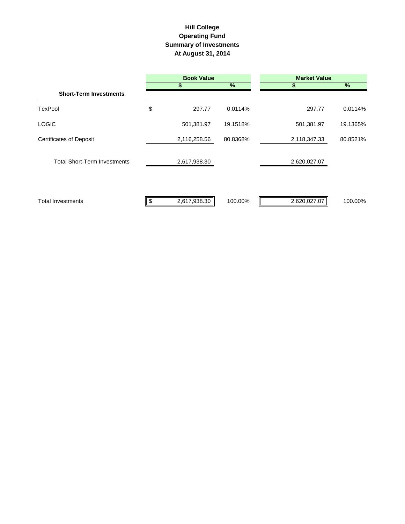## **Hill College Operating Fund Summary of Investments At August 31, 2014**

|                                     |    | <b>Book Value</b> |          | <b>Market Value</b> |          |
|-------------------------------------|----|-------------------|----------|---------------------|----------|
|                                     |    | S                 | $\%$     |                     | $\%$     |
| <b>Short-Term Investments</b>       |    |                   |          |                     |          |
| <b>TexPool</b>                      | \$ | 297.77            | 0.0114%  | 297.77              | 0.0114%  |
| <b>LOGIC</b>                        |    | 501,381.97        | 19.1518% | 501,381.97          | 19.1365% |
| <b>Certificates of Deposit</b>      |    | 2,116,258.56      | 80.8368% | 2,118,347.33        | 80.8521% |
| <b>Total Short-Term Investments</b> |    | 2,617,938.30      |          | 2,620,027.07        |          |
| <b>Total Investments</b>            | Ъ  | 2,617,938.30      | 100.00%  | 2,620,027.07        | 100.00%  |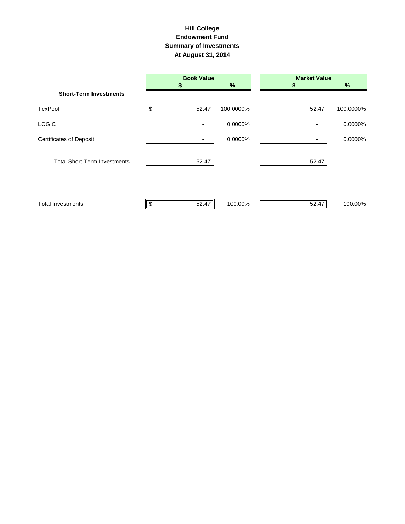#### **Hill College Endowment Fund Summary of Investments At August 31, 2014**

|                                     | <b>Book Value</b> |                          |           | <b>Market Value</b> |           |  |  |
|-------------------------------------|-------------------|--------------------------|-----------|---------------------|-----------|--|--|
|                                     |                   |                          | %         |                     | %         |  |  |
| <b>Short-Term Investments</b>       |                   |                          |           |                     |           |  |  |
| <b>TexPool</b>                      | \$                | 52.47                    | 100.0000% | 52.47               | 100.0000% |  |  |
| <b>LOGIC</b>                        |                   | $\overline{\phantom{a}}$ | 0.0000%   |                     | 0.0000%   |  |  |
| <b>Certificates of Deposit</b>      |                   |                          | 0.0000%   |                     | 0.0000%   |  |  |
| <b>Total Short-Term Investments</b> |                   | 52.47                    |           | 52.47               |           |  |  |
| <b>Total Investments</b>            |                   | 52.47                    | 100.00%   | 52.47               | 100.00%   |  |  |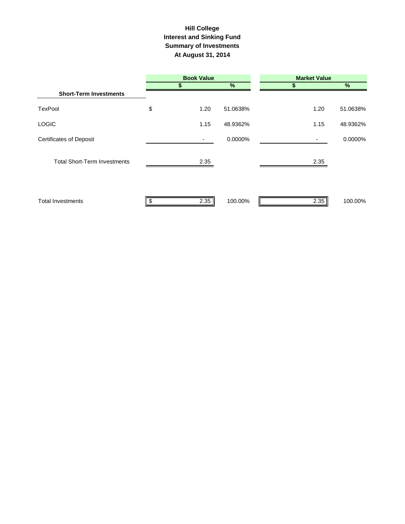#### **Interest and Sinking Fund Summary of Investments At August 31, 2014 Hill College**

|                                     | <b>Book Value</b> |          | <b>Market Value</b> |          |  |  |
|-------------------------------------|-------------------|----------|---------------------|----------|--|--|
|                                     | S                 | $\%$     | S                   | $\%$     |  |  |
| <b>Short-Term Investments</b>       |                   |          |                     |          |  |  |
| <b>TexPool</b>                      | \$<br>1.20        | 51.0638% | 1.20                | 51.0638% |  |  |
| <b>LOGIC</b>                        | 1.15              | 48.9362% | 1.15                | 48.9362% |  |  |
| <b>Certificates of Deposit</b>      |                   | 0.0000%  | ۰.                  | 0.0000%  |  |  |
| <b>Total Short-Term Investments</b> | 2.35              |          | 2.35                |          |  |  |
| <b>Total Investments</b>            | 2.35              | 100.00%  | 2.35                | 100.00%  |  |  |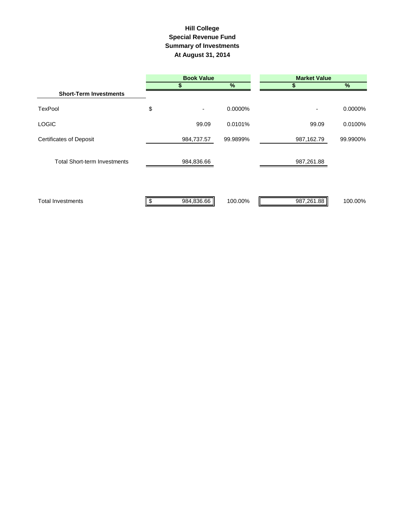### **Summary of Investments At August 31, 2014 Special Revenue Fund Hill College**

|                                     | <b>Book Value</b> |          | <b>Market Value</b> |               |
|-------------------------------------|-------------------|----------|---------------------|---------------|
|                                     |                   | %        |                     | $\frac{9}{6}$ |
| <b>Short-Term Investments</b>       |                   |          |                     |               |
| <b>TexPool</b>                      | \$                | 0.0000%  |                     | 0.0000%       |
| <b>LOGIC</b>                        | 99.09             | 0.0101%  | 99.09               | 0.0100%       |
| <b>Certificates of Deposit</b>      | 984,737.57        | 99.9899% | 987,162.79          | 99.9900%      |
| <b>Total Short-term Investments</b> | 984,836.66        |          | 987,261.88          |               |
| <b>Total Investments</b>            | 984,836.66        | 100.00%  | 987,261.88          | 100.00%       |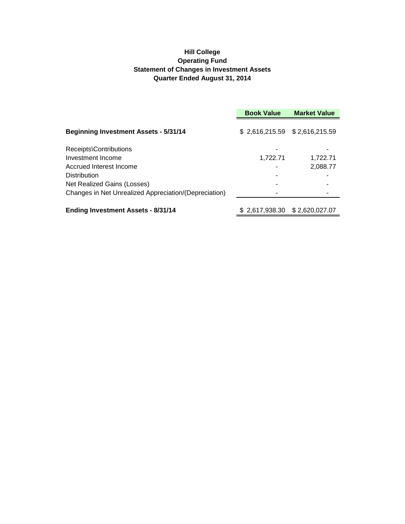#### **Hill College Operating Fund Statement of Changes in Investment Assets Quarter Ended August 31, 2014**

|                                                       | <b>Book Value</b>               | <b>Market Value</b> |  |
|-------------------------------------------------------|---------------------------------|---------------------|--|
| <b>Beginning Investment Assets - 5/31/14</b>          | $$2,616,215.59$ $$2,616,215.59$ |                     |  |
| Receipts\Contributions                                |                                 |                     |  |
| Investment Income                                     | 1,722.71                        | 1.722.71            |  |
| Accrued Interest Income                               |                                 | 2,088.77            |  |
| <b>Distribution</b>                                   |                                 |                     |  |
| Net Realized Gains (Losses)                           |                                 |                     |  |
| Changes in Net Unrealized Appreciation/(Depreciation) |                                 |                     |  |
| <b>Ending Investment Assets - 8/31/14</b>             |                                 |                     |  |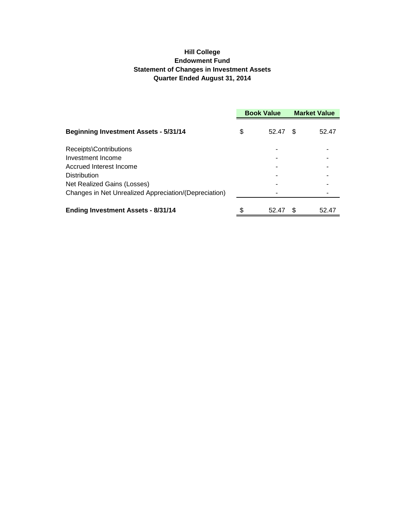### **Hill College Endowment Fund Statement of Changes in Investment Assets Quarter Ended August 31, 2014**

|                                                       | <b>Book Value</b> |       | <b>Market Value</b> |       |
|-------------------------------------------------------|-------------------|-------|---------------------|-------|
| <b>Beginning Investment Assets - 5/31/14</b>          | \$                | 52.47 | \$                  | 52.47 |
| Receipts\Contributions                                |                   |       |                     |       |
| Investment Income                                     |                   |       |                     |       |
| Accrued Interest Income                               |                   |       |                     |       |
| Distribution                                          |                   |       |                     |       |
| Net Realized Gains (Losses)                           |                   |       |                     |       |
| Changes in Net Unrealized Appreciation/(Depreciation) |                   |       |                     |       |
| <b>Ending Investment Assets - 8/31/14</b>             | \$                | 52.47 | \$.                 | 52.47 |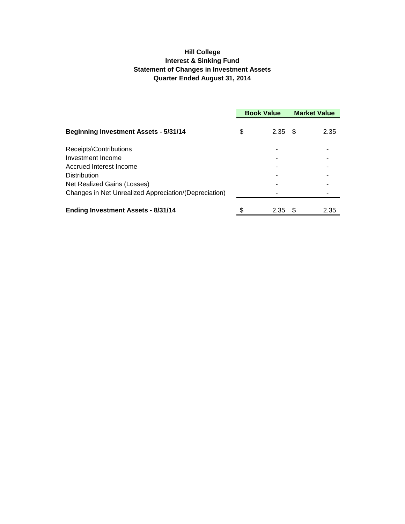### **Hill College Interest & Sinking Fund Statement of Changes in Investment Assets Quarter Ended August 31, 2014**

|                                                       | <b>Book Value</b> |      | <b>Market Value</b> |      |
|-------------------------------------------------------|-------------------|------|---------------------|------|
| <b>Beginning Investment Assets - 5/31/14</b>          | \$                | 2.35 | - \$                | 2.35 |
| Receipts\Contributions                                |                   |      |                     |      |
| Investment Income                                     |                   |      |                     |      |
| Accrued Interest Income                               |                   |      |                     |      |
| <b>Distribution</b>                                   |                   |      |                     |      |
| Net Realized Gains (Losses)                           |                   |      |                     |      |
| Changes in Net Unrealized Appreciation/(Depreciation) |                   |      |                     |      |
| <b>Ending Investment Assets - 8/31/14</b>             | \$                | 2.35 | - \$                | 2.35 |